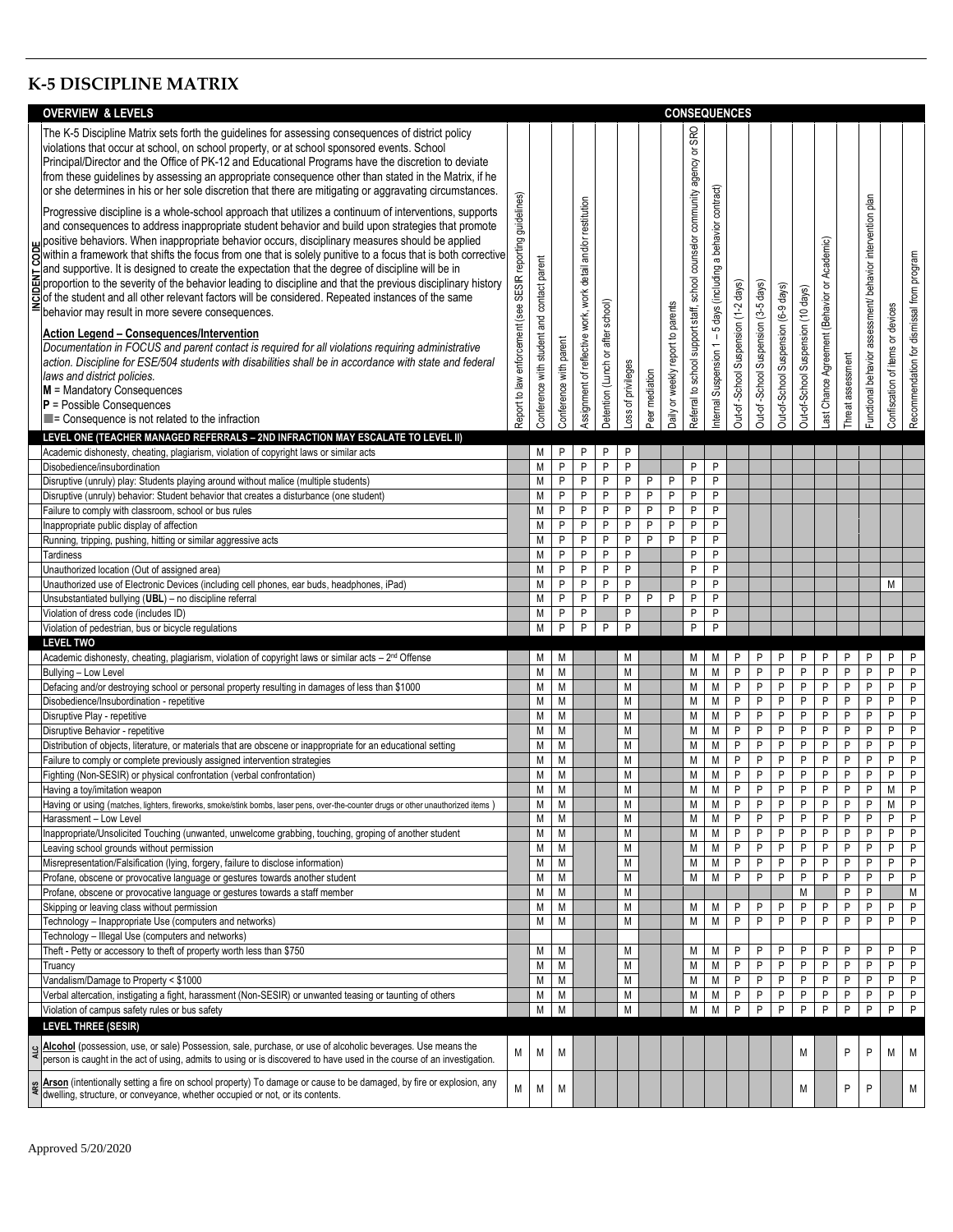## **K-5 DISCIPLINE MATRIX**

|     | <b>OVERVIEW &amp; LEVELS</b>                                                                                                                                                                                                                                                                                                                                                                                                                                                                                                                                                                                                                                                                                                                                                                                                                                                                                                                                                                                                                                                                                                                                                                                                                                                                                                                                                                                                                                                                                                                                                                                                                                                                                                                                                                                               | <b>CONSEQUENCES</b>                                           |                                            |                              |                                                               |                                   |                    |                |                                   |                                                                               |                                                               |                                     |                                     |                                     |                                    |                                                 |                  |                                                            |                                  |                                           |
|-----|----------------------------------------------------------------------------------------------------------------------------------------------------------------------------------------------------------------------------------------------------------------------------------------------------------------------------------------------------------------------------------------------------------------------------------------------------------------------------------------------------------------------------------------------------------------------------------------------------------------------------------------------------------------------------------------------------------------------------------------------------------------------------------------------------------------------------------------------------------------------------------------------------------------------------------------------------------------------------------------------------------------------------------------------------------------------------------------------------------------------------------------------------------------------------------------------------------------------------------------------------------------------------------------------------------------------------------------------------------------------------------------------------------------------------------------------------------------------------------------------------------------------------------------------------------------------------------------------------------------------------------------------------------------------------------------------------------------------------------------------------------------------------------------------------------------------------|---------------------------------------------------------------|--------------------------------------------|------------------------------|---------------------------------------------------------------|-----------------------------------|--------------------|----------------|-----------------------------------|-------------------------------------------------------------------------------|---------------------------------------------------------------|-------------------------------------|-------------------------------------|-------------------------------------|------------------------------------|-------------------------------------------------|------------------|------------------------------------------------------------|----------------------------------|-------------------------------------------|
|     | The K-5 Discipline Matrix sets forth the guidelines for assessing consequences of district policy<br>violations that occur at school, on school property, or at school sponsored events. School<br>Principal/Director and the Office of PK-12 and Educational Programs have the discretion to deviate<br>from these guidelines by assessing an appropriate consequence other than stated in the Matrix, if he<br>or she determines in his or her sole discretion that there are mitigating or aggravating circumstances.<br>Progressive discipline is a whole-school approach that utilizes a continuum of interventions, supports<br>and consequences to address inappropriate student behavior and build upon strategies that promote<br>s in positive behaviors. When inappropriate behavior occurs, disciplinary measures should be applied<br>S within a framework that shifts the focus from one that is solely punitive to a focus that is both corrective<br>and suppor<br>and supportive. It is designed to create the expectation that the degree of discipline will be in<br>proportion to the severity of the behavior leading to discipline and that the previous disciplinary history<br>of the student s<br>$\overline{S}$ of the student and all other relevant factors will be considered. Repeated instances of the same<br>behavior may result in more severe consequences.<br>Action Legend - Consequences/Intervention<br>Documentation in FOCUS and parent contact is required for all violations requiring administrative<br>action. Discipline for ESE/504 students with disabilities shall be in accordance with state and federal<br>laws and district policies.<br>$M =$ Mandatory Consequences<br>$P =$ Possible Consequences<br>$\blacksquare$ = Consequence is not related to the infraction | SESIR reporting guidelines)<br>Report to law enforcement (see | Conference with student and contact parent | Conference with parent       | Assignment of reflective work, work detail and/or restitution | Detention (Lunch or after school) | Loss of privileges | Peer mediation | Daily or weekly report to parents | SRO<br>Referral to school support staff, school counselor community agency or | nternal Suspension 1 - 5 days (including a behavior contract) | Out-of-School Suspension (1-2 days) | Out-of-School Suspension (3-5 days) | Out-of-School Suspension (6-9 days) | Out-of-School Suspension (10 days) | Academic)<br>Last Chance Agreement (Behavior or | hreat assessment | Functional behavior assessment/ behavior intervention plan | Confiscation of items or devices | Recommendation for dismissal from program |
|     | LEVEL ONE (TEACHER MANAGED REFERRALS - 2ND INFRACTION MAY ESCALATE TO LEVEL II)                                                                                                                                                                                                                                                                                                                                                                                                                                                                                                                                                                                                                                                                                                                                                                                                                                                                                                                                                                                                                                                                                                                                                                                                                                                                                                                                                                                                                                                                                                                                                                                                                                                                                                                                            |                                                               |                                            |                              |                                                               |                                   |                    |                |                                   |                                                                               |                                                               |                                     |                                     |                                     |                                    |                                                 |                  |                                                            |                                  |                                           |
|     | Academic dishonesty, cheating, plagiarism, violation of copyright laws or similar acts                                                                                                                                                                                                                                                                                                                                                                                                                                                                                                                                                                                                                                                                                                                                                                                                                                                                                                                                                                                                                                                                                                                                                                                                                                                                                                                                                                                                                                                                                                                                                                                                                                                                                                                                     |                                                               | М                                          | P                            | P                                                             | P                                 | P                  |                |                                   |                                                                               |                                                               |                                     |                                     |                                     |                                    |                                                 |                  |                                                            |                                  |                                           |
|     | Disobedience/insubordination                                                                                                                                                                                                                                                                                                                                                                                                                                                                                                                                                                                                                                                                                                                                                                                                                                                                                                                                                                                                                                                                                                                                                                                                                                                                                                                                                                                                                                                                                                                                                                                                                                                                                                                                                                                               |                                                               | M                                          | $\mathsf{P}$                 | P                                                             | P                                 | $\mathsf{P}$       |                |                                   | P                                                                             | P                                                             |                                     |                                     |                                     |                                    |                                                 |                  |                                                            |                                  |                                           |
|     | Disruptive (unruly) play: Students playing around without malice (multiple students)<br>Disruptive (unruly) behavior: Student behavior that creates a disturbance (one student)                                                                                                                                                                                                                                                                                                                                                                                                                                                                                                                                                                                                                                                                                                                                                                                                                                                                                                                                                                                                                                                                                                                                                                                                                                                                                                                                                                                                                                                                                                                                                                                                                                            |                                                               | M<br>M                                     | $\mathsf{P}$<br>$\mathsf{P}$ | P<br>$\sf P$                                                  | P<br>P                            | P<br>$\mathsf{P}$  | P<br>P         | P<br>P                            | P<br>P                                                                        | P<br>P                                                        |                                     |                                     |                                     |                                    |                                                 |                  |                                                            |                                  |                                           |
|     | Failure to comply with classroom, school or bus rules                                                                                                                                                                                                                                                                                                                                                                                                                                                                                                                                                                                                                                                                                                                                                                                                                                                                                                                                                                                                                                                                                                                                                                                                                                                                                                                                                                                                                                                                                                                                                                                                                                                                                                                                                                      |                                                               | M                                          | ${\sf P}$                    | P                                                             | P                                 | P                  | P              | P                                 | P                                                                             | P                                                             |                                     |                                     |                                     |                                    |                                                 |                  |                                                            |                                  |                                           |
|     | Inappropriate public display of affection                                                                                                                                                                                                                                                                                                                                                                                                                                                                                                                                                                                                                                                                                                                                                                                                                                                                                                                                                                                                                                                                                                                                                                                                                                                                                                                                                                                                                                                                                                                                                                                                                                                                                                                                                                                  |                                                               | M                                          | $\sf P$                      | P                                                             | P                                 | P                  | P              | $\mathsf{P}$                      | $\sf P$                                                                       | P                                                             |                                     |                                     |                                     |                                    |                                                 |                  |                                                            |                                  |                                           |
|     | Running, tripping, pushing, hitting or similar aggressive acts                                                                                                                                                                                                                                                                                                                                                                                                                                                                                                                                                                                                                                                                                                                                                                                                                                                                                                                                                                                                                                                                                                                                                                                                                                                                                                                                                                                                                                                                                                                                                                                                                                                                                                                                                             |                                                               | M                                          | ${\sf P}$                    | $\sf P$                                                       | P                                 | P                  | P              | P                                 | $\mathsf{P}$                                                                  | P                                                             |                                     |                                     |                                     |                                    |                                                 |                  |                                                            |                                  |                                           |
|     | Tardiness                                                                                                                                                                                                                                                                                                                                                                                                                                                                                                                                                                                                                                                                                                                                                                                                                                                                                                                                                                                                                                                                                                                                                                                                                                                                                                                                                                                                                                                                                                                                                                                                                                                                                                                                                                                                                  |                                                               | M                                          | P                            | P                                                             | P                                 | P                  |                |                                   | P                                                                             | P                                                             |                                     |                                     |                                     |                                    |                                                 |                  |                                                            |                                  |                                           |
|     | Unauthorized location (Out of assigned area)                                                                                                                                                                                                                                                                                                                                                                                                                                                                                                                                                                                                                                                                                                                                                                                                                                                                                                                                                                                                                                                                                                                                                                                                                                                                                                                                                                                                                                                                                                                                                                                                                                                                                                                                                                               |                                                               | M                                          | $\sf P$                      | P                                                             | P                                 | P                  |                |                                   | P                                                                             | P                                                             |                                     |                                     |                                     |                                    |                                                 |                  |                                                            |                                  |                                           |
|     | Unauthorized use of Electronic Devices (including cell phones, ear buds, headphones, iPad)                                                                                                                                                                                                                                                                                                                                                                                                                                                                                                                                                                                                                                                                                                                                                                                                                                                                                                                                                                                                                                                                                                                                                                                                                                                                                                                                                                                                                                                                                                                                                                                                                                                                                                                                 |                                                               | M                                          | P                            | P                                                             | P<br>P                            | P                  |                | P                                 | P                                                                             | P                                                             |                                     |                                     |                                     |                                    |                                                 |                  |                                                            | M                                |                                           |
|     | Unsubstantiated bullying (UBL) - no discipline referral<br>Violation of dress code (includes ID)                                                                                                                                                                                                                                                                                                                                                                                                                                                                                                                                                                                                                                                                                                                                                                                                                                                                                                                                                                                                                                                                                                                                                                                                                                                                                                                                                                                                                                                                                                                                                                                                                                                                                                                           |                                                               | M<br>M                                     | $\mathsf{P}$<br>P            | P<br>P                                                        |                                   | P<br>P             | P              |                                   | P<br>P                                                                        | P<br>P                                                        |                                     |                                     |                                     |                                    |                                                 |                  |                                                            |                                  |                                           |
|     | Violation of pedestrian, bus or bicycle regulations                                                                                                                                                                                                                                                                                                                                                                                                                                                                                                                                                                                                                                                                                                                                                                                                                                                                                                                                                                                                                                                                                                                                                                                                                                                                                                                                                                                                                                                                                                                                                                                                                                                                                                                                                                        |                                                               | M                                          | P                            | P                                                             | P                                 | P                  |                |                                   | P                                                                             | P                                                             |                                     |                                     |                                     |                                    |                                                 |                  |                                                            |                                  |                                           |
|     | <b>LEVEL TWO</b>                                                                                                                                                                                                                                                                                                                                                                                                                                                                                                                                                                                                                                                                                                                                                                                                                                                                                                                                                                                                                                                                                                                                                                                                                                                                                                                                                                                                                                                                                                                                                                                                                                                                                                                                                                                                           |                                                               |                                            |                              |                                                               |                                   |                    |                |                                   |                                                                               |                                                               |                                     |                                     |                                     |                                    |                                                 |                  |                                                            |                                  |                                           |
|     | Academic dishonesty, cheating, plagiarism, violation of copyright laws or similar acts - 2 <sup>nd</sup> Offense                                                                                                                                                                                                                                                                                                                                                                                                                                                                                                                                                                                                                                                                                                                                                                                                                                                                                                                                                                                                                                                                                                                                                                                                                                                                                                                                                                                                                                                                                                                                                                                                                                                                                                           |                                                               | М                                          | M                            |                                                               |                                   | M                  |                |                                   | M                                                                             | М                                                             | P                                   | P                                   | P                                   | P                                  | P                                               | P                | P                                                          | Ρ                                | P                                         |
|     | Bullying - Low Level                                                                                                                                                                                                                                                                                                                                                                                                                                                                                                                                                                                                                                                                                                                                                                                                                                                                                                                                                                                                                                                                                                                                                                                                                                                                                                                                                                                                                                                                                                                                                                                                                                                                                                                                                                                                       |                                                               | M                                          | M                            |                                                               |                                   | M                  |                |                                   | M                                                                             | M                                                             | P                                   | P                                   | P                                   | P                                  | $\mathsf{P}$                                    | P                | P                                                          | P                                | P                                         |
|     | Defacing and/or destroying school or personal property resulting in damages of less than \$1000                                                                                                                                                                                                                                                                                                                                                                                                                                                                                                                                                                                                                                                                                                                                                                                                                                                                                                                                                                                                                                                                                                                                                                                                                                                                                                                                                                                                                                                                                                                                                                                                                                                                                                                            |                                                               | M                                          | M                            |                                                               |                                   | M                  |                |                                   | M                                                                             | M                                                             | P                                   | P                                   | P                                   | P                                  | $\sf P$                                         | P                | P                                                          | P                                | P                                         |
|     | Disobedience/Insubordination - repetitive<br>Disruptive Play - repetitive                                                                                                                                                                                                                                                                                                                                                                                                                                                                                                                                                                                                                                                                                                                                                                                                                                                                                                                                                                                                                                                                                                                                                                                                                                                                                                                                                                                                                                                                                                                                                                                                                                                                                                                                                  |                                                               | M<br>M                                     | M<br>M                       |                                                               |                                   | M<br>M             |                |                                   | M<br>M                                                                        | М<br>M                                                        | P<br>P                              | $\mathsf{P}$<br>P                   | P<br>P                              | P<br>P                             | $\mathsf{P}$<br>$\sf P$                         | P<br>P           | P<br>$\overline{P}$                                        | P<br>P                           | P<br>P                                    |
|     | Disruptive Behavior - repetitive                                                                                                                                                                                                                                                                                                                                                                                                                                                                                                                                                                                                                                                                                                                                                                                                                                                                                                                                                                                                                                                                                                                                                                                                                                                                                                                                                                                                                                                                                                                                                                                                                                                                                                                                                                                           |                                                               | M                                          | M                            |                                                               |                                   | M                  |                |                                   | M                                                                             | М                                                             | P                                   | P                                   | P                                   | P                                  | $\sf P$                                         | P                | P                                                          | P                                | P                                         |
|     | Distribution of objects, literature, or materials that are obscene or inappropriate for an educational setting                                                                                                                                                                                                                                                                                                                                                                                                                                                                                                                                                                                                                                                                                                                                                                                                                                                                                                                                                                                                                                                                                                                                                                                                                                                                                                                                                                                                                                                                                                                                                                                                                                                                                                             |                                                               | M                                          | M                            |                                                               |                                   | M                  |                |                                   | M                                                                             | М                                                             | P                                   | $\mathsf{P}$                        | P                                   | ${\sf P}$                          | ${\sf P}$                                       | P                | P                                                          | P                                | $\sf P$                                   |
|     | Failure to comply or complete previously assigned intervention strategies                                                                                                                                                                                                                                                                                                                                                                                                                                                                                                                                                                                                                                                                                                                                                                                                                                                                                                                                                                                                                                                                                                                                                                                                                                                                                                                                                                                                                                                                                                                                                                                                                                                                                                                                                  |                                                               | M                                          | M                            |                                                               |                                   | M                  |                |                                   | M                                                                             | М                                                             | P                                   | P                                   | P                                   | P                                  | $\sf P$                                         | P                | P                                                          | P                                | P                                         |
|     | Fighting (Non-SESIR) or physical confrontation (verbal confrontation)                                                                                                                                                                                                                                                                                                                                                                                                                                                                                                                                                                                                                                                                                                                                                                                                                                                                                                                                                                                                                                                                                                                                                                                                                                                                                                                                                                                                                                                                                                                                                                                                                                                                                                                                                      |                                                               | M                                          | M                            |                                                               |                                   | M                  |                |                                   | M                                                                             | Μ                                                             | P                                   | P                                   | P                                   | P                                  | $\sf P$                                         | P                | P                                                          | P                                | $\sf P$                                   |
|     | Having a toy/imitation weapon                                                                                                                                                                                                                                                                                                                                                                                                                                                                                                                                                                                                                                                                                                                                                                                                                                                                                                                                                                                                                                                                                                                                                                                                                                                                                                                                                                                                                                                                                                                                                                                                                                                                                                                                                                                              |                                                               | М                                          | M                            |                                                               |                                   | M                  |                |                                   | M                                                                             | Μ                                                             | P                                   | P                                   | P                                   | P                                  | $\sf P$                                         | P                | P                                                          | M                                | P                                         |
|     | Having or using (matches, lighters, fireworks, smoke/stink bombs, laser pens, over-the-counter drugs or other unauthorized items                                                                                                                                                                                                                                                                                                                                                                                                                                                                                                                                                                                                                                                                                                                                                                                                                                                                                                                                                                                                                                                                                                                                                                                                                                                                                                                                                                                                                                                                                                                                                                                                                                                                                           |                                                               | M<br>M                                     | M<br>M                       |                                                               |                                   | M<br>M             |                |                                   | M<br>M                                                                        | М<br>М                                                        | P<br>P                              | P<br>P                              | P<br>P                              | P<br>P                             | P<br>$\sf P$                                    | P<br>P           | P<br>P                                                     | М<br>P                           | P<br>P                                    |
|     | Harassment - Low Level<br>Inappropriate/Unsolicited Touching (unwanted, unwelcome grabbing, touching, groping of another student                                                                                                                                                                                                                                                                                                                                                                                                                                                                                                                                                                                                                                                                                                                                                                                                                                                                                                                                                                                                                                                                                                                                                                                                                                                                                                                                                                                                                                                                                                                                                                                                                                                                                           |                                                               | M                                          | M                            |                                                               |                                   | M                  |                |                                   | M                                                                             | Μ                                                             | P                                   | P                                   | P                                   | P                                  | $\sf P$                                         | P                | P                                                          | P                                | P                                         |
|     | eaving school grounds without permission                                                                                                                                                                                                                                                                                                                                                                                                                                                                                                                                                                                                                                                                                                                                                                                                                                                                                                                                                                                                                                                                                                                                                                                                                                                                                                                                                                                                                                                                                                                                                                                                                                                                                                                                                                                   |                                                               | M                                          | M                            |                                                               |                                   | M                  |                |                                   | M                                                                             | М                                                             | P                                   | $\sf P$                             | P                                   | $\sf P$                            | $\sf P$                                         | P                | P                                                          | P                                | P                                         |
|     | Misrepresentation/Falsification (lying, forgery, failure to disclose information)                                                                                                                                                                                                                                                                                                                                                                                                                                                                                                                                                                                                                                                                                                                                                                                                                                                                                                                                                                                                                                                                                                                                                                                                                                                                                                                                                                                                                                                                                                                                                                                                                                                                                                                                          |                                                               | M                                          | M                            |                                                               |                                   | M                  |                |                                   | M                                                                             | М                                                             | P                                   | P                                   | P                                   | P                                  | $\mathsf{P}$                                    | P                | P                                                          | P                                | P                                         |
|     | Profane, obscene or provocative language or gestures towards another student                                                                                                                                                                                                                                                                                                                                                                                                                                                                                                                                                                                                                                                                                                                                                                                                                                                                                                                                                                                                                                                                                                                                                                                                                                                                                                                                                                                                                                                                                                                                                                                                                                                                                                                                               |                                                               | M                                          | M                            |                                                               |                                   | M                  |                |                                   | M                                                                             | М                                                             | P                                   | $\sf P$                             | P                                   | P                                  | P                                               | P                | P                                                          | P                                | P                                         |
|     | Profane, obscene or provocative language or gestures towards a staff member                                                                                                                                                                                                                                                                                                                                                                                                                                                                                                                                                                                                                                                                                                                                                                                                                                                                                                                                                                                                                                                                                                                                                                                                                                                                                                                                                                                                                                                                                                                                                                                                                                                                                                                                                |                                                               | M                                          | M                            |                                                               |                                   | M                  |                |                                   |                                                                               |                                                               |                                     |                                     |                                     | М                                  |                                                 | P                | P                                                          |                                  | М                                         |
|     | Skipping or leaving class without permission                                                                                                                                                                                                                                                                                                                                                                                                                                                                                                                                                                                                                                                                                                                                                                                                                                                                                                                                                                                                                                                                                                                                                                                                                                                                                                                                                                                                                                                                                                                                                                                                                                                                                                                                                                               |                                                               | M                                          | M                            |                                                               |                                   | M                  |                |                                   | M                                                                             | М                                                             | P<br>P                              | P<br>P                              | P<br>P                              | P<br>P                             | P<br>P                                          | P<br>P           | P<br>P                                                     | P<br>P                           | P<br>P                                    |
|     | Technology - Inappropriate Use (computers and networks)<br>Technology - Illegal Use (computers and networks)                                                                                                                                                                                                                                                                                                                                                                                                                                                                                                                                                                                                                                                                                                                                                                                                                                                                                                                                                                                                                                                                                                                                                                                                                                                                                                                                                                                                                                                                                                                                                                                                                                                                                                               |                                                               | М                                          | M                            |                                                               |                                   | M                  |                |                                   | M                                                                             | М                                                             |                                     |                                     |                                     |                                    |                                                 |                  |                                                            |                                  |                                           |
|     | Theft - Petty or accessory to theft of property worth less than \$750                                                                                                                                                                                                                                                                                                                                                                                                                                                                                                                                                                                                                                                                                                                                                                                                                                                                                                                                                                                                                                                                                                                                                                                                                                                                                                                                                                                                                                                                                                                                                                                                                                                                                                                                                      |                                                               | Μ                                          | M                            |                                                               |                                   | M                  |                |                                   | M                                                                             | М                                                             | P                                   | P                                   | P                                   | P                                  | P                                               | P                | P                                                          | P                                | P                                         |
|     | Truancy                                                                                                                                                                                                                                                                                                                                                                                                                                                                                                                                                                                                                                                                                                                                                                                                                                                                                                                                                                                                                                                                                                                                                                                                                                                                                                                                                                                                                                                                                                                                                                                                                                                                                                                                                                                                                    |                                                               | M                                          | M                            |                                                               |                                   | M                  |                |                                   | M                                                                             | M                                                             | P                                   | $\mathsf{P}$                        | P                                   | P                                  | $\sf P$                                         | P                | P                                                          | P                                | P                                         |
|     | Vandalism/Damage to Property < \$1000                                                                                                                                                                                                                                                                                                                                                                                                                                                                                                                                                                                                                                                                                                                                                                                                                                                                                                                                                                                                                                                                                                                                                                                                                                                                                                                                                                                                                                                                                                                                                                                                                                                                                                                                                                                      |                                                               | M                                          | M                            |                                                               |                                   | M                  |                |                                   | M                                                                             | М                                                             | P                                   | $\mathsf{P}$                        | P                                   | P                                  | P                                               | P                | P                                                          | P                                | P                                         |
|     | Verbal altercation, instigating a fight, harassment (Non-SESIR) or unwanted teasing or taunting of others                                                                                                                                                                                                                                                                                                                                                                                                                                                                                                                                                                                                                                                                                                                                                                                                                                                                                                                                                                                                                                                                                                                                                                                                                                                                                                                                                                                                                                                                                                                                                                                                                                                                                                                  |                                                               | M                                          | M                            |                                                               |                                   | M                  |                |                                   | M                                                                             | M                                                             | P                                   | P                                   | P                                   | P                                  | $\sf P$                                         | P                | P                                                          | P                                | P                                         |
|     | Violation of campus safety rules or bus safety                                                                                                                                                                                                                                                                                                                                                                                                                                                                                                                                                                                                                                                                                                                                                                                                                                                                                                                                                                                                                                                                                                                                                                                                                                                                                                                                                                                                                                                                                                                                                                                                                                                                                                                                                                             |                                                               | M                                          | M                            |                                                               |                                   | M                  |                |                                   | M                                                                             | M                                                             | P                                   | $\sf P$                             | P                                   | P                                  | P                                               | P                | P                                                          | $\sf P$                          | P                                         |
| ALC | <b>LEVEL THREE (SESIR)</b><br>Alcohol (possession, use, or sale) Possession, sale, purchase, or use of alcoholic beverages. Use means the<br>person is caught in the act of using, admits to using or is discovered to have used in the course of an investigation.                                                                                                                                                                                                                                                                                                                                                                                                                                                                                                                                                                                                                                                                                                                                                                                                                                                                                                                                                                                                                                                                                                                                                                                                                                                                                                                                                                                                                                                                                                                                                        | М                                                             | М                                          | M                            |                                                               |                                   |                    |                |                                   |                                                                               |                                                               |                                     |                                     |                                     | M                                  |                                                 | P                | P                                                          | М                                | M                                         |
|     | Arson (intentionally setting a fire on school property) To damage or cause to be damaged, by fire or explosion, any<br>dwelling, structure, or conveyance, whether occupied or not, or its contents.                                                                                                                                                                                                                                                                                                                                                                                                                                                                                                                                                                                                                                                                                                                                                                                                                                                                                                                                                                                                                                                                                                                                                                                                                                                                                                                                                                                                                                                                                                                                                                                                                       | М                                                             | М                                          | M                            |                                                               |                                   |                    |                |                                   |                                                                               |                                                               |                                     |                                     |                                     | М                                  |                                                 | P                | P                                                          |                                  | М                                         |
|     |                                                                                                                                                                                                                                                                                                                                                                                                                                                                                                                                                                                                                                                                                                                                                                                                                                                                                                                                                                                                                                                                                                                                                                                                                                                                                                                                                                                                                                                                                                                                                                                                                                                                                                                                                                                                                            |                                                               |                                            |                              |                                                               |                                   |                    |                |                                   |                                                                               |                                                               |                                     |                                     |                                     |                                    |                                                 |                  |                                                            |                                  |                                           |